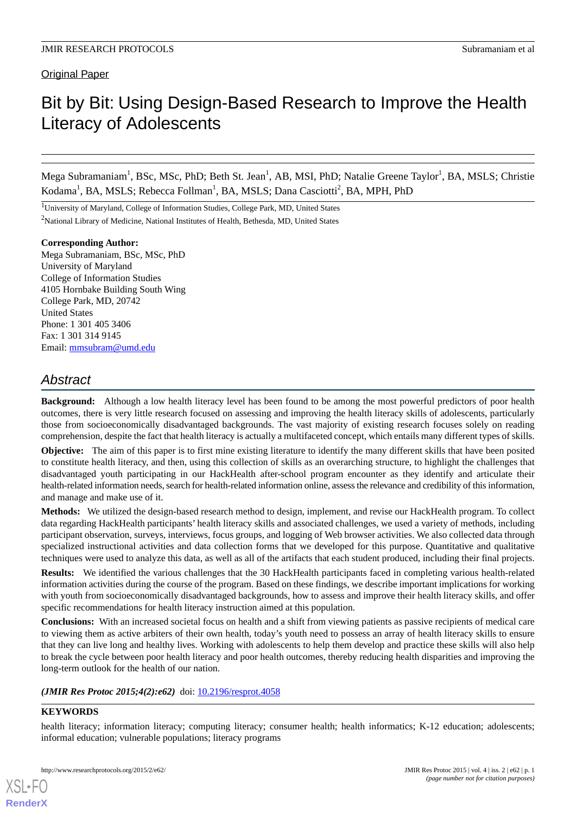Original Paper

# Bit by Bit: Using Design-Based Research to Improve the Health Literacy of Adolescents

Mega Subramaniam<sup>1</sup>, BSc, MSc, PhD; Beth St. Jean<sup>1</sup>, AB, MSI, PhD; Natalie Greene Taylor<sup>1</sup>, BA, MSLS; Christie Kodama<sup>1</sup>, BA, MSLS; Rebecca Follman<sup>1</sup>, BA, MSLS; Dana Casciotti<sup>2</sup>, BA, MPH, PhD

<sup>1</sup>University of Maryland, College of Information Studies, College Park, MD, United States

<sup>2</sup>National Library of Medicine, National Institutes of Health, Bethesda, MD, United States

### **Corresponding Author:**

Mega Subramaniam, BSc, MSc, PhD University of Maryland College of Information Studies 4105 Hornbake Building South Wing College Park, MD, 20742 United States Phone: 1 301 405 3406 Fax: 1 301 314 9145 Email: [mmsubram@umd.edu](mailto:mmsubram@umd.edu)

# *Abstract*

**Background:** Although a low health literacy level has been found to be among the most powerful predictors of poor health outcomes, there is very little research focused on assessing and improving the health literacy skills of adolescents, particularly those from socioeconomically disadvantaged backgrounds. The vast majority of existing research focuses solely on reading comprehension, despite the fact that health literacy is actually a multifaceted concept, which entails many different types of skills.

**Objective:** The aim of this paper is to first mine existing literature to identify the many different skills that have been posited to constitute health literacy, and then, using this collection of skills as an overarching structure, to highlight the challenges that disadvantaged youth participating in our HackHealth after-school program encounter as they identify and articulate their health-related information needs, search for health-related information online, assess the relevance and credibility of this information, and manage and make use of it.

**Methods:** We utilized the design-based research method to design, implement, and revise our HackHealth program. To collect data regarding HackHealth participants' health literacy skills and associated challenges, we used a variety of methods, including participant observation, surveys, interviews, focus groups, and logging of Web browser activities. We also collected data through specialized instructional activities and data collection forms that we developed for this purpose. Quantitative and qualitative techniques were used to analyze this data, as well as all of the artifacts that each student produced, including their final projects.

**Results:** We identified the various challenges that the 30 HackHealth participants faced in completing various health-related information activities during the course of the program. Based on these findings, we describe important implications for working with youth from socioeconomically disadvantaged backgrounds, how to assess and improve their health literacy skills, and offer specific recommendations for health literacy instruction aimed at this population.

**Conclusions:** With an increased societal focus on health and a shift from viewing patients as passive recipients of medical care to viewing them as active arbiters of their own health, today's youth need to possess an array of health literacy skills to ensure that they can live long and healthy lives. Working with adolescents to help them develop and practice these skills will also help to break the cycle between poor health literacy and poor health outcomes, thereby reducing health disparities and improving the long-term outlook for the health of our nation.

### *(JMIR Res Protoc 2015;4(2):e62)* doi: [10.2196/resprot.4058](http://dx.doi.org/10.2196/resprot.4058)

# **KEYWORDS**

[XSL](http://www.w3.org/Style/XSL)•FO **[RenderX](http://www.renderx.com/)**

health literacy; information literacy; computing literacy; consumer health; health informatics; K-12 education; adolescents; informal education; vulnerable populations; literacy programs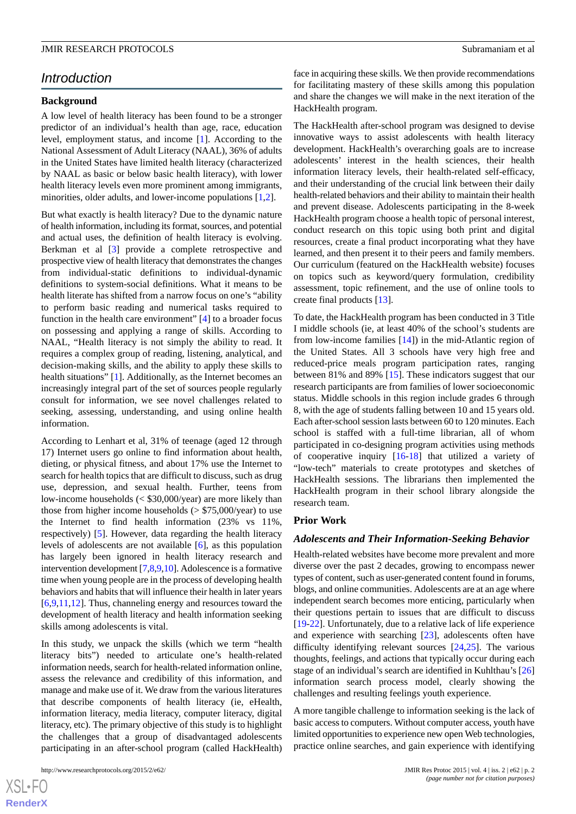### *Introduction*

#### **Background**

A low level of health literacy has been found to be a stronger predictor of an individual's health than age, race, education level, employment status, and income [\[1\]](#page-11-0). According to the National Assessment of Adult Literacy (NAAL), 36% of adults in the United States have limited health literacy (characterized by NAAL as basic or below basic health literacy), with lower health literacy levels even more prominent among immigrants, minorities, older adults, and lower-income populations [\[1](#page-11-0)[,2\]](#page-11-1).

But what exactly is health literacy? Due to the dynamic nature of health information, including its format, sources, and potential and actual uses, the definition of health literacy is evolving. Berkman et al [\[3](#page-11-2)] provide a complete retrospective and prospective view of health literacy that demonstrates the changes from individual-static definitions to individual-dynamic definitions to system-social definitions. What it means to be health literate has shifted from a narrow focus on one's "ability to perform basic reading and numerical tasks required to function in the health care environment" [\[4](#page-11-3)] to a broader focus on possessing and applying a range of skills. According to NAAL, "Health literacy is not simply the ability to read. It requires a complex group of reading, listening, analytical, and decision-making skills, and the ability to apply these skills to health situations" [[1\]](#page-11-0). Additionally, as the Internet becomes an increasingly integral part of the set of sources people regularly consult for information, we see novel challenges related to seeking, assessing, understanding, and using online health information.

According to Lenhart et al, 31% of teenage (aged 12 through 17) Internet users go online to find information about health, dieting, or physical fitness, and about 17% use the Internet to search for health topics that are difficult to discuss, such as drug use, depression, and sexual health. Further, teens from low-income households (< \$30,000/year) are more likely than those from higher income households (> \$75,000/year) to use the Internet to find health information (23% vs 11%, respectively) [[5\]](#page-11-4). However, data regarding the health literacy levels of adolescents are not available [[6\]](#page-11-5), as this population has largely been ignored in health literacy research and intervention development [\[7](#page-11-6),[8,](#page-11-7)[9](#page-11-8)[,10](#page-11-9)]. Adolescence is a formative time when young people are in the process of developing health behaviors and habits that will influence their health in later years [[6](#page-11-5)[,9](#page-11-8),[11](#page-11-10)[,12](#page-11-11)]. Thus, channeling energy and resources toward the development of health literacy and health information seeking skills among adolescents is vital.

In this study, we unpack the skills (which we term "health literacy bits") needed to articulate one's health-related information needs, search for health-related information online, assess the relevance and credibility of this information, and manage and make use of it. We draw from the various literatures that describe components of health literacy (ie, eHealth, information literacy, media literacy, computer literacy, digital literacy, etc). The primary objective of this study is to highlight the challenges that a group of disadvantaged adolescents participating in an after-school program (called HackHealth)

face in acquiring these skills. We then provide recommendations for facilitating mastery of these skills among this population and share the changes we will make in the next iteration of the HackHealth program.

The HackHealth after-school program was designed to devise innovative ways to assist adolescents with health literacy development. HackHealth's overarching goals are to increase adolescents' interest in the health sciences, their health information literacy levels, their health-related self-efficacy, and their understanding of the crucial link between their daily health-related behaviors and their ability to maintain their health and prevent disease. Adolescents participating in the 8-week HackHealth program choose a health topic of personal interest, conduct research on this topic using both print and digital resources, create a final product incorporating what they have learned, and then present it to their peers and family members. Our curriculum (featured on the HackHealth website) focuses on topics such as keyword/query formulation, credibility assessment, topic refinement, and the use of online tools to create final products [[13\]](#page-12-0).

To date, the HackHealth program has been conducted in 3 Title I middle schools (ie, at least 40% of the school's students are from low-income families [[14\]](#page-12-1)) in the mid-Atlantic region of the United States. All 3 schools have very high free and reduced-price meals program participation rates, ranging between 81% and 89% [\[15](#page-12-2)]. These indicators suggest that our research participants are from families of lower socioeconomic status. Middle schools in this region include grades 6 through 8, with the age of students falling between 10 and 15 years old. Each after-school session lasts between 60 to 120 minutes. Each school is staffed with a full-time librarian, all of whom participated in co-designing program activities using methods of cooperative inquiry [\[16](#page-12-3)-[18\]](#page-12-4) that utilized a variety of "low-tech" materials to create prototypes and sketches of HackHealth sessions. The librarians then implemented the HackHealth program in their school library alongside the research team.

#### **Prior Work**

#### *Adolescents and Their Information-Seeking Behavior*

Health-related websites have become more prevalent and more diverse over the past 2 decades, growing to encompass newer types of content, such as user-generated content found in forums, blogs, and online communities. Adolescents are at an age where independent search becomes more enticing, particularly when their questions pertain to issues that are difficult to discuss [[19](#page-12-5)[-22](#page-12-6)]. Unfortunately, due to a relative lack of life experience and experience with searching [\[23](#page-12-7)], adolescents often have difficulty identifying relevant sources [[24,](#page-12-8)[25](#page-12-9)]. The various thoughts, feelings, and actions that typically occur during each stage of an individual's search are identified in Kuhlthau's [\[26](#page-12-10)] information search process model, clearly showing the challenges and resulting feelings youth experience.

A more tangible challenge to information seeking is the lack of basic access to computers. Without computer access, youth have limited opportunities to experience new open Web technologies, practice online searches, and gain experience with identifying

 $XS$  • FC **[RenderX](http://www.renderx.com/)**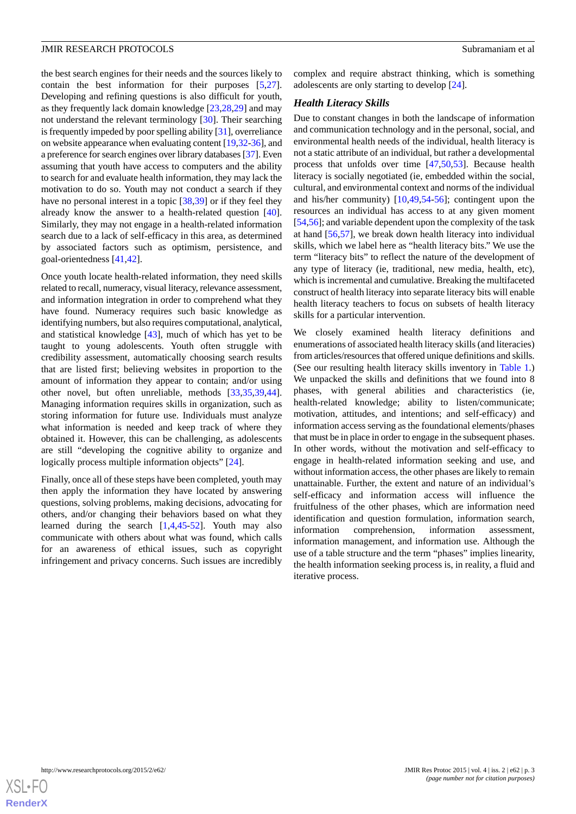the best search engines for their needs and the sources likely to contain the best information for their purposes [\[5](#page-11-4),[27\]](#page-12-11). Developing and refining questions is also difficult for youth, as they frequently lack domain knowledge [[23](#page-12-7)[,28](#page-12-12),[29\]](#page-12-13) and may not understand the relevant terminology [[30\]](#page-12-14). Their searching is frequently impeded by poor spelling ability [[31](#page-12-15)], overreliance on website appearance when evaluating content [\[19](#page-12-5)[,32](#page-12-16)-[36\]](#page-12-17), and a preference for search engines over library databases [\[37\]](#page-12-18). Even assuming that youth have access to computers and the ability to search for and evaluate health information, they may lack the motivation to do so. Youth may not conduct a search if they have no personal interest in a topic [[38](#page-12-19)[,39](#page-12-20)] or if they feel they already know the answer to a health-related question [[40\]](#page-12-21). Similarly, they may not engage in a health-related information search due to a lack of self-efficacy in this area, as determined by associated factors such as optimism, persistence, and goal-orientedness [[41](#page-12-22)[,42](#page-13-0)].

Once youth locate health-related information, they need skills related to recall, numeracy, visual literacy, relevance assessment, and information integration in order to comprehend what they have found. Numeracy requires such basic knowledge as identifying numbers, but also requires computational, analytical, and statistical knowledge [[43\]](#page-13-1), much of which has yet to be taught to young adolescents. Youth often struggle with credibility assessment, automatically choosing search results that are listed first; believing websites in proportion to the amount of information they appear to contain; and/or using other novel, but often unreliable, methods [\[33](#page-12-23),[35](#page-12-24)[,39](#page-12-20),[44\]](#page-13-2). Managing information requires skills in organization, such as storing information for future use. Individuals must analyze what information is needed and keep track of where they obtained it. However, this can be challenging, as adolescents are still "developing the cognitive ability to organize and logically process multiple information objects" [[24\]](#page-12-8).

Finally, once all of these steps have been completed, youth may then apply the information they have located by answering questions, solving problems, making decisions, advocating for others, and/or changing their behaviors based on what they learned during the search [\[1](#page-11-0),[4](#page-11-3)[,45](#page-13-3)-[52\]](#page-13-4). Youth may also communicate with others about what was found, which calls for an awareness of ethical issues, such as copyright infringement and privacy concerns. Such issues are incredibly

complex and require abstract thinking, which is something adolescents are only starting to develop [\[24](#page-12-8)].

### *Health Literacy Skills*

Due to constant changes in both the landscape of information and communication technology and in the personal, social, and environmental health needs of the individual, health literacy is not a static attribute of an individual, but rather a developmental process that unfolds over time [[47,](#page-13-5)[50](#page-13-6),[53\]](#page-13-7). Because health literacy is socially negotiated (ie, embedded within the social, cultural, and environmental context and norms of the individual and his/her community) [[10,](#page-11-9)[49](#page-13-8),[54-](#page-13-9)[56](#page-13-10)]; contingent upon the resources an individual has access to at any given moment [[54](#page-13-9)[,56](#page-13-10)]; and variable dependent upon the complexity of the task at hand [\[56](#page-13-10),[57\]](#page-13-11), we break down health literacy into individual skills, which we label here as "health literacy bits." We use the term "literacy bits" to reflect the nature of the development of any type of literacy (ie, traditional, new media, health, etc), which is incremental and cumulative. Breaking the multifaceted construct of health literacy into separate literacy bits will enable health literacy teachers to focus on subsets of health literacy skills for a particular intervention.

We closely examined health literacy definitions and enumerations of associated health literacy skills (and literacies) from articles/resources that offered unique definitions and skills. (See our resulting health literacy skills inventory in [Table 1.](#page-3-0)) We unpacked the skills and definitions that we found into 8 phases, with general abilities and characteristics (ie, health-related knowledge; ability to listen/communicate; motivation, attitudes, and intentions; and self-efficacy) and information access serving as the foundational elements/phases that must be in place in order to engage in the subsequent phases. In other words, without the motivation and self-efficacy to engage in health-related information seeking and use, and without information access, the other phases are likely to remain unattainable. Further, the extent and nature of an individual's self-efficacy and information access will influence the fruitfulness of the other phases, which are information need identification and question formulation, information search, information comprehension, information assessment, information management, and information use. Although the use of a table structure and the term "phases" implies linearity, the health information seeking process is, in reality, a fluid and iterative process.

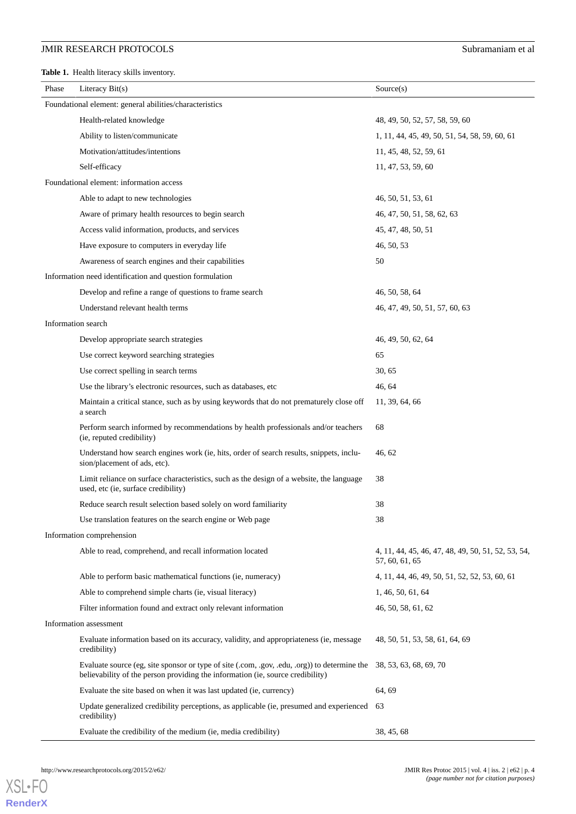<span id="page-3-0"></span>**Table 1.** Health literacy skills inventory.

| Phase                                                   | Literacy $Bit(s)$                                                                                                                                                              | Source(s)                                                            |  |  |  |
|---------------------------------------------------------|--------------------------------------------------------------------------------------------------------------------------------------------------------------------------------|----------------------------------------------------------------------|--|--|--|
| Foundational element: general abilities/characteristics |                                                                                                                                                                                |                                                                      |  |  |  |
|                                                         | Health-related knowledge                                                                                                                                                       | 48, 49, 50, 52, 57, 58, 59, 60                                       |  |  |  |
|                                                         | Ability to listen/communicate                                                                                                                                                  | 1, 11, 44, 45, 49, 50, 51, 54, 58, 59, 60, 61                        |  |  |  |
|                                                         | Motivation/attitudes/intentions                                                                                                                                                | 11, 45, 48, 52, 59, 61                                               |  |  |  |
|                                                         | Self-efficacy                                                                                                                                                                  | 11, 47, 53, 59, 60                                                   |  |  |  |
|                                                         | Foundational element: information access                                                                                                                                       |                                                                      |  |  |  |
|                                                         | Able to adapt to new technologies                                                                                                                                              | 46, 50, 51, 53, 61                                                   |  |  |  |
|                                                         | Aware of primary health resources to begin search                                                                                                                              | 46, 47, 50, 51, 58, 62, 63                                           |  |  |  |
|                                                         | Access valid information, products, and services                                                                                                                               | 45, 47, 48, 50, 51                                                   |  |  |  |
|                                                         | Have exposure to computers in everyday life                                                                                                                                    | 46, 50, 53                                                           |  |  |  |
|                                                         | Awareness of search engines and their capabilities                                                                                                                             | 50                                                                   |  |  |  |
|                                                         | Information need identification and question formulation                                                                                                                       |                                                                      |  |  |  |
|                                                         | Develop and refine a range of questions to frame search                                                                                                                        | 46, 50, 58, 64                                                       |  |  |  |
|                                                         | Understand relevant health terms                                                                                                                                               | 46, 47, 49, 50, 51, 57, 60, 63                                       |  |  |  |
| Information search                                      |                                                                                                                                                                                |                                                                      |  |  |  |
|                                                         | Develop appropriate search strategies                                                                                                                                          | 46, 49, 50, 62, 64                                                   |  |  |  |
|                                                         | Use correct keyword searching strategies                                                                                                                                       | 65                                                                   |  |  |  |
|                                                         | Use correct spelling in search terms                                                                                                                                           | 30, 65                                                               |  |  |  |
|                                                         | Use the library's electronic resources, such as databases, etc                                                                                                                 | 46, 64                                                               |  |  |  |
|                                                         | Maintain a critical stance, such as by using keywords that do not prematurely close off<br>a search                                                                            | 11, 39, 64, 66                                                       |  |  |  |
|                                                         | Perform search informed by recommendations by health professionals and/or teachers<br>(ie, reputed credibility)                                                                | 68                                                                   |  |  |  |
|                                                         | Understand how search engines work (ie, hits, order of search results, snippets, inclu-<br>sion/placement of ads, etc).                                                        | 46, 62                                                               |  |  |  |
|                                                         | Limit reliance on surface characteristics, such as the design of a website, the language<br>used, etc (ie, surface credibility)                                                | 38                                                                   |  |  |  |
|                                                         | Reduce search result selection based solely on word familiarity                                                                                                                | 38                                                                   |  |  |  |
|                                                         | Use translation features on the search engine or Web page                                                                                                                      | 38                                                                   |  |  |  |
| Information comprehension                               |                                                                                                                                                                                |                                                                      |  |  |  |
|                                                         | Able to read, comprehend, and recall information located                                                                                                                       | 4, 11, 44, 45, 46, 47, 48, 49, 50, 51, 52, 53, 54,<br>57, 60, 61, 65 |  |  |  |
|                                                         | Able to perform basic mathematical functions (ie, numeracy)                                                                                                                    | 4, 11, 44, 46, 49, 50, 51, 52, 52, 53, 60, 61                        |  |  |  |
|                                                         | Able to comprehend simple charts (ie, visual literacy)                                                                                                                         | 1, 46, 50, 61, 64                                                    |  |  |  |
|                                                         | Filter information found and extract only relevant information                                                                                                                 | 46, 50, 58, 61, 62                                                   |  |  |  |
|                                                         | Information assessment                                                                                                                                                         |                                                                      |  |  |  |
|                                                         | Evaluate information based on its accuracy, validity, and appropriateness (ie, message<br>credibility)                                                                         | 48, 50, 51, 53, 58, 61, 64, 69                                       |  |  |  |
|                                                         | Evaluate source (eg, site sponsor or type of site (.com, .gov, .edu, .org)) to determine the<br>believability of the person providing the information (ie, source credibility) | 38, 53, 63, 68, 69, 70                                               |  |  |  |
|                                                         | Evaluate the site based on when it was last updated (ie, currency)                                                                                                             | 64, 69                                                               |  |  |  |
|                                                         | Update generalized credibility perceptions, as applicable (ie, presumed and experienced 63<br>credibility)                                                                     |                                                                      |  |  |  |
|                                                         | Evaluate the credibility of the medium (ie, media credibility)                                                                                                                 | 38, 45, 68                                                           |  |  |  |

[XSL](http://www.w3.org/Style/XSL)•FO **[RenderX](http://www.renderx.com/)**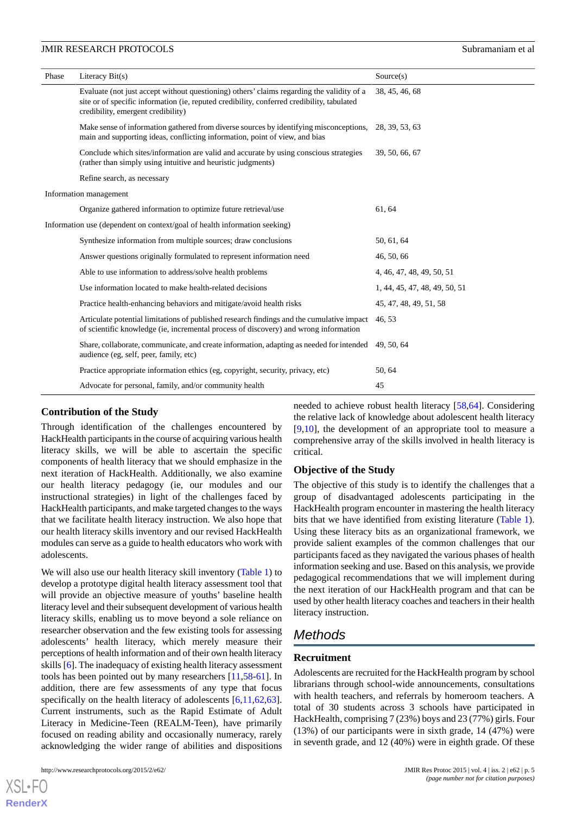| Phase                                                                     | Literacy $Bit(s)$                                                                                                                                                                                                             | Source(s)                     |  |  |  |
|---------------------------------------------------------------------------|-------------------------------------------------------------------------------------------------------------------------------------------------------------------------------------------------------------------------------|-------------------------------|--|--|--|
|                                                                           | Evaluate (not just accept without questioning) others' claims regarding the validity of a<br>site or of specific information (ie, reputed credibility, conferred credibility, tabulated<br>credibility, emergent credibility) | 38, 45, 46, 68                |  |  |  |
|                                                                           | Make sense of information gathered from diverse sources by identifying misconceptions,<br>main and supporting ideas, conflicting information, point of view, and bias                                                         | 28, 39, 53, 63                |  |  |  |
|                                                                           | Conclude which sites/information are valid and accurate by using conscious strategies<br>(rather than simply using intuitive and heuristic judgments)                                                                         | 39, 50, 66, 67                |  |  |  |
|                                                                           | Refine search, as necessary                                                                                                                                                                                                   |                               |  |  |  |
| Information management                                                    |                                                                                                                                                                                                                               |                               |  |  |  |
|                                                                           | Organize gathered information to optimize future retrieval/use                                                                                                                                                                | 61, 64                        |  |  |  |
| Information use (dependent on context/goal of health information seeking) |                                                                                                                                                                                                                               |                               |  |  |  |
|                                                                           | Synthesize information from multiple sources; draw conclusions                                                                                                                                                                | 50, 61, 64                    |  |  |  |
|                                                                           | Answer questions originally formulated to represent information need                                                                                                                                                          | 46, 50, 66                    |  |  |  |
|                                                                           | Able to use information to address/solve health problems                                                                                                                                                                      | 4, 46, 47, 48, 49, 50, 51     |  |  |  |
|                                                                           | Use information located to make health-related decisions                                                                                                                                                                      | 1, 44, 45, 47, 48, 49, 50, 51 |  |  |  |
|                                                                           | Practice health-enhancing behaviors and mitigate/avoid health risks                                                                                                                                                           | 45, 47, 48, 49, 51, 58        |  |  |  |
|                                                                           | Articulate potential limitations of published research findings and the cumulative impact<br>of scientific knowledge (ie, incremental process of discovery) and wrong information                                             | 46.53                         |  |  |  |
|                                                                           | Share, collaborate, communicate, and create information, adapting as needed for intended<br>audience (eg, self, peer, family, etc)                                                                                            | 49, 50, 64                    |  |  |  |
|                                                                           | Practice appropriate information ethics (eg, copyright, security, privacy, etc)                                                                                                                                               | 50, 64                        |  |  |  |
|                                                                           | Advocate for personal, family, and/or community health                                                                                                                                                                        | 45                            |  |  |  |

### **Contribution of the Study**

Through identification of the challenges encountered by HackHealth participants in the course of acquiring various health literacy skills, we will be able to ascertain the specific components of health literacy that we should emphasize in the next iteration of HackHealth. Additionally, we also examine our health literacy pedagogy (ie, our modules and our instructional strategies) in light of the challenges faced by HackHealth participants, and make targeted changes to the ways that we facilitate health literacy instruction. We also hope that our health literacy skills inventory and our revised HackHealth modules can serve as a guide to health educators who work with adolescents.

We will also use our health literacy skill inventory ([Table 1](#page-3-0)) to develop a prototype digital health literacy assessment tool that will provide an objective measure of youths' baseline health literacy level and their subsequent development of various health literacy skills, enabling us to move beyond a sole reliance on researcher observation and the few existing tools for assessing adolescents' health literacy, which merely measure their perceptions of health information and of their own health literacy skills [[6\]](#page-11-5). The inadequacy of existing health literacy assessment tools has been pointed out by many researchers [[11](#page-11-10)[,58](#page-13-12)-[61\]](#page-13-13). In addition, there are few assessments of any type that focus specifically on the health literacy of adolescents [\[6](#page-11-5),[11](#page-11-10)[,62](#page-13-14),[63\]](#page-13-15). Current instruments, such as the Rapid Estimate of Adult Literacy in Medicine-Teen (REALM-Teen), have primarily focused on reading ability and occasionally numeracy, rarely acknowledging the wider range of abilities and dispositions

[XSL](http://www.w3.org/Style/XSL)•FO **[RenderX](http://www.renderx.com/)**

needed to achieve robust health literacy [\[58](#page-13-12),[64\]](#page-13-16). Considering the relative lack of knowledge about adolescent health literacy [[9](#page-11-8)[,10](#page-11-9)], the development of an appropriate tool to measure a comprehensive array of the skills involved in health literacy is critical.

### **Objective of the Study**

The objective of this study is to identify the challenges that a group of disadvantaged adolescents participating in the HackHealth program encounter in mastering the health literacy bits that we have identified from existing literature ([Table 1\)](#page-3-0). Using these literacy bits as an organizational framework, we provide salient examples of the common challenges that our participants faced as they navigated the various phases of health information seeking and use. Based on this analysis, we provide pedagogical recommendations that we will implement during the next iteration of our HackHealth program and that can be used by other health literacy coaches and teachers in their health literacy instruction.

# *Methods*

### **Recruitment**

Adolescents are recruited for the HackHealth program by school librarians through school-wide announcements, consultations with health teachers, and referrals by homeroom teachers. A total of 30 students across 3 schools have participated in HackHealth*,* comprising 7 (23%) boys and 23 (77%) girls. Four (13%) of our participants were in sixth grade, 14 (47%) were in seventh grade, and 12 (40%) were in eighth grade. Of these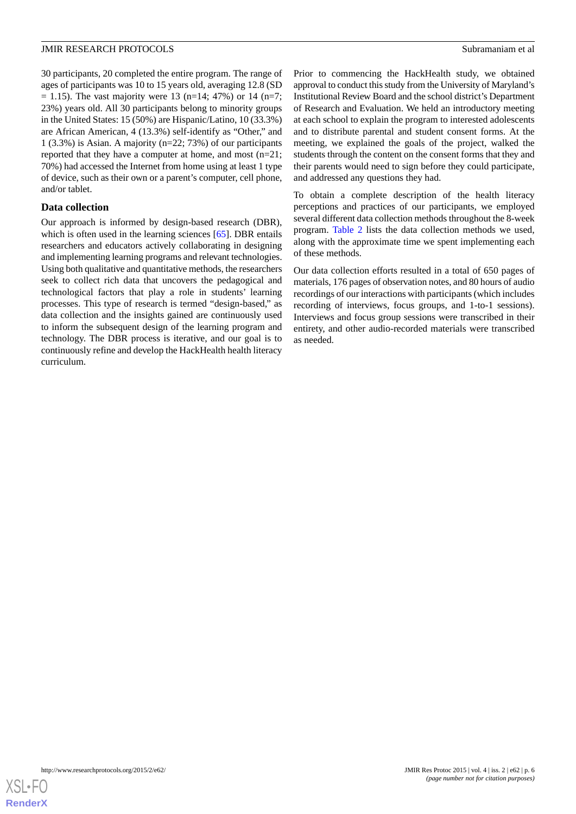30 participants, 20 completed the entire program. The range of ages of participants was 10 to 15 years old, averaging 12.8 (SD  $= 1.15$ ). The vast majority were 13 (n=14; 47%) or 14 (n=7; 23%) years old. All 30 participants belong to minority groups in the United States: 15 (50%) are Hispanic/Latino, 10 (33.3%) are African American, 4 (13.3%) self-identify as "Other," and 1 (3.3%) is Asian. A majority (n=22; 73%) of our participants reported that they have a computer at home, and most (n=21; 70%) had accessed the Internet from home using at least 1 type of device, such as their own or a parent's computer, cell phone, and/or tablet.

### **Data collection**

Our approach is informed by design-based research (DBR), which is often used in the learning sciences [[65\]](#page-13-17). DBR entails researchers and educators actively collaborating in designing and implementing learning programs and relevant technologies. Using both qualitative and quantitative methods, the researchers seek to collect rich data that uncovers the pedagogical and technological factors that play a role in students' learning processes. This type of research is termed "design-based," as data collection and the insights gained are continuously used to inform the subsequent design of the learning program and technology. The DBR process is iterative, and our goal is to continuously refine and develop the HackHealth health literacy curriculum.

Prior to commencing the HackHealth study, we obtained approval to conduct this study from the University of Maryland's Institutional Review Board and the school district's Department of Research and Evaluation. We held an introductory meeting at each school to explain the program to interested adolescents and to distribute parental and student consent forms. At the meeting, we explained the goals of the project, walked the students through the content on the consent forms that they and their parents would need to sign before they could participate, and addressed any questions they had.

To obtain a complete description of the health literacy perceptions and practices of our participants, we employed several different data collection methods throughout the 8-week program. [Table 2](#page-6-0) lists the data collection methods we used, along with the approximate time we spent implementing each of these methods.

Our data collection efforts resulted in a total of 650 pages of materials, 176 pages of observation notes, and 80 hours of audio recordings of our interactions with participants (which includes recording of interviews, focus groups, and 1-to-1 sessions). Interviews and focus group sessions were transcribed in their entirety, and other audio-recorded materials were transcribed as needed.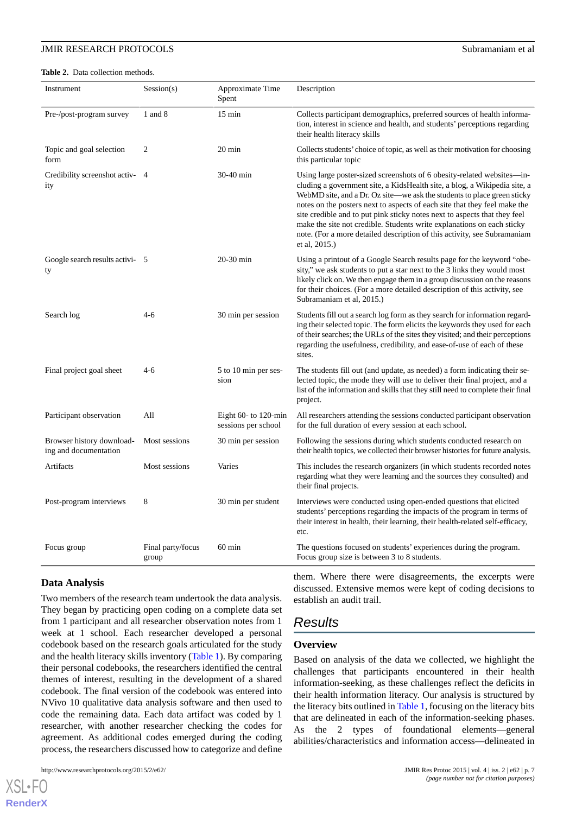<span id="page-6-0"></span>**Table 2.** Data collection methods.

| Instrument                                         | Session(s)                 | Approximate Time<br>Spent                     | Description                                                                                                                                                                                                                                                                                                                                                                                                                                                                                                                                                     |
|----------------------------------------------------|----------------------------|-----------------------------------------------|-----------------------------------------------------------------------------------------------------------------------------------------------------------------------------------------------------------------------------------------------------------------------------------------------------------------------------------------------------------------------------------------------------------------------------------------------------------------------------------------------------------------------------------------------------------------|
| Pre-/post-program survey                           | 1 and 8                    | $15 \text{ min}$                              | Collects participant demographics, preferred sources of health informa-<br>tion, interest in science and health, and students' perceptions regarding<br>their health literacy skills                                                                                                                                                                                                                                                                                                                                                                            |
| Topic and goal selection<br>form                   | $\overline{2}$             | 20 min                                        | Collects students' choice of topic, as well as their motivation for choosing<br>this particular topic                                                                                                                                                                                                                                                                                                                                                                                                                                                           |
| Credibility screenshot activ- 4<br>ity             |                            | 30-40 min                                     | Using large poster-sized screenshots of 6 obesity-related websites—in-<br>cluding a government site, a KidsHealth site, a blog, a Wikipedia site, a<br>WebMD site, and a Dr. Oz site—we ask the students to place green sticky<br>notes on the posters next to aspects of each site that they feel make the<br>site credible and to put pink sticky notes next to aspects that they feel<br>make the site not credible. Students write explanations on each sticky<br>note. (For a more detailed description of this activity, see Subramaniam<br>et al, 2015.) |
| Google search results activi- 5<br>ty              |                            | $20-30$ min                                   | Using a printout of a Google Search results page for the keyword "obe-<br>sity," we ask students to put a star next to the 3 links they would most<br>likely click on. We then engage them in a group discussion on the reasons<br>for their choices. (For a more detailed description of this activity, see<br>Subramaniam et al, 2015.)                                                                                                                                                                                                                       |
| Search log                                         | $4-6$                      | 30 min per session                            | Students fill out a search log form as they search for information regard-<br>ing their selected topic. The form elicits the keywords they used for each<br>of their searches; the URLs of the sites they visited; and their perceptions<br>regarding the usefulness, credibility, and ease-of-use of each of these<br>sites.                                                                                                                                                                                                                                   |
| Final project goal sheet                           | $4-6$                      | 5 to 10 min per ses-<br>sion                  | The students fill out (and update, as needed) a form indicating their se-<br>lected topic, the mode they will use to deliver their final project, and a<br>list of the information and skills that they still need to complete their final<br>project.                                                                                                                                                                                                                                                                                                          |
| Participant observation                            | All                        | Eight $60-$ to 120-min<br>sessions per school | All researchers attending the sessions conducted participant observation<br>for the full duration of every session at each school.                                                                                                                                                                                                                                                                                                                                                                                                                              |
| Browser history download-<br>ing and documentation | Most sessions              | 30 min per session                            | Following the sessions during which students conducted research on<br>their health topics, we collected their browser histories for future analysis.                                                                                                                                                                                                                                                                                                                                                                                                            |
| Artifacts                                          | Most sessions              | Varies                                        | This includes the research organizers (in which students recorded notes<br>regarding what they were learning and the sources they consulted) and<br>their final projects.                                                                                                                                                                                                                                                                                                                                                                                       |
| Post-program interviews                            | 8                          | 30 min per student                            | Interviews were conducted using open-ended questions that elicited<br>students' perceptions regarding the impacts of the program in terms of<br>their interest in health, their learning, their health-related self-efficacy,<br>etc.                                                                                                                                                                                                                                                                                                                           |
| Focus group                                        | Final party/focus<br>group | $60$ min                                      | The questions focused on students' experiences during the program.<br>Focus group size is between 3 to 8 students.                                                                                                                                                                                                                                                                                                                                                                                                                                              |

#### **Data Analysis**

Two members of the research team undertook the data analysis. They began by practicing open coding on a complete data set from 1 participant and all researcher observation notes from 1 week at 1 school. Each researcher developed a personal codebook based on the research goals articulated for the study and the health literacy skills inventory [\(Table 1](#page-3-0)). By comparing their personal codebooks, the researchers identified the central themes of interest, resulting in the development of a shared codebook. The final version of the codebook was entered into NVivo 10 qualitative data analysis software and then used to code the remaining data. Each data artifact was coded by 1 researcher, with another researcher checking the codes for agreement. As additional codes emerged during the coding process, the researchers discussed how to categorize and define

http://www.researchprotocols.org/2015/2/e62/ JMIR Res Protoc 2015 | vol. 4 | iss. 2 | e62 | p. 7

 $X$ SL•FO **[RenderX](http://www.renderx.com/)** them. Where there were disagreements, the excerpts were discussed. Extensive memos were kept of coding decisions to establish an audit trail.

# *Results*

### **Overview**

Based on analysis of the data we collected, we highlight the challenges that participants encountered in their health information-seeking, as these challenges reflect the deficits in their health information literacy. Our analysis is structured by the literacy bits outlined in [Table 1,](#page-3-0) focusing on the literacy bits that are delineated in each of the information-seeking phases. As the 2 types of foundational elements—general abilities/characteristics and information access—delineated in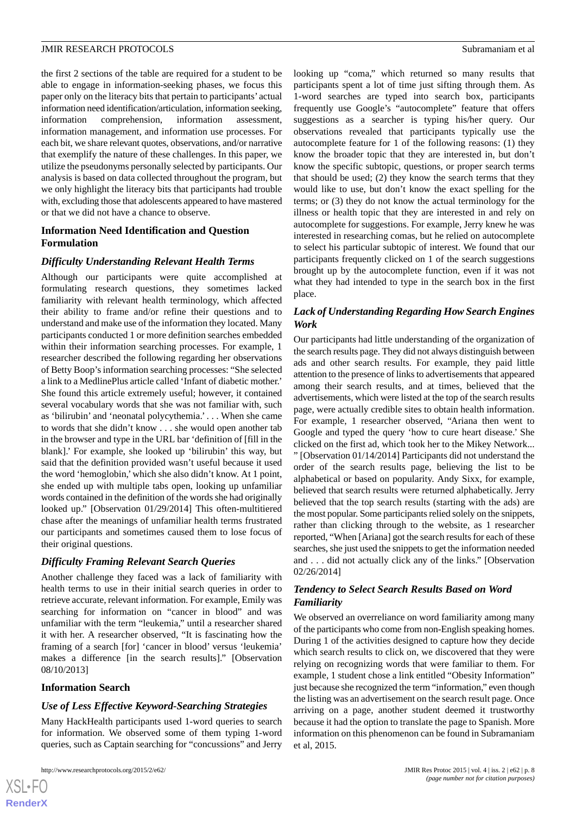the first 2 sections of the table are required for a student to be able to engage in information-seeking phases, we focus this paper only on the literacy bits that pertain to participants' actual information need identification/articulation, information seeking, information comprehension, information assessment, information management, and information use processes. For

each bit, we share relevant quotes, observations, and/or narrative that exemplify the nature of these challenges. In this paper, we utilize the pseudonyms personally selected by participants. Our analysis is based on data collected throughout the program, but we only highlight the literacy bits that participants had trouble with, excluding those that adolescents appeared to have mastered or that we did not have a chance to observe.

### **Information Need Identification and Question Formulation**

### *Difficulty Understanding Relevant Health Terms*

Although our participants were quite accomplished at formulating research questions, they sometimes lacked familiarity with relevant health terminology, which affected their ability to frame and/or refine their questions and to understand and make use of the information they located. Many participants conducted 1 or more definition searches embedded within their information searching processes. For example, 1 researcher described the following regarding her observations of Betty Boop's information searching processes: "She selected a link to a MedlinePlus article called 'Infant of diabetic mother.' She found this article extremely useful; however, it contained several vocabulary words that she was not familiar with, such as 'bilirubin' and 'neonatal polycythemia.' . . . When she came to words that she didn't know . . . she would open another tab in the browser and type in the URL bar 'definition of [fill in the blank].' For example, she looked up 'bilirubin' this way, but said that the definition provided wasn't useful because it used the word 'hemoglobin,'which she also didn't know. At 1 point, she ended up with multiple tabs open, looking up unfamiliar words contained in the definition of the words she had originally looked up." [Observation 01/29/2014] This often-multitiered chase after the meanings of unfamiliar health terms frustrated our participants and sometimes caused them to lose focus of their original questions.

# *Difficulty Framing Relevant Search Queries*

Another challenge they faced was a lack of familiarity with health terms to use in their initial search queries in order to retrieve accurate, relevant information. For example, Emily was searching for information on "cancer in blood" and was unfamiliar with the term "leukemia," until a researcher shared it with her. A researcher observed, "It is fascinating how the framing of a search [for] 'cancer in blood' versus 'leukemia' makes a difference [in the search results]." [Observation 08/10/2013]

### **Information Search**

 $XS$  $\cdot$ FC **[RenderX](http://www.renderx.com/)**

### *Use of Less Effective Keyword-Searching Strategies*

Many HackHealth participants used 1-word queries to search for information. We observed some of them typing 1-word queries, such as Captain searching for "concussions" and Jerry

looking up "coma," which returned so many results that participants spent a lot of time just sifting through them. As 1-word searches are typed into search box, participants frequently use Google's "autocomplete" feature that offers suggestions as a searcher is typing his/her query. Our observations revealed that participants typically use the autocomplete feature for 1 of the following reasons: (1) they know the broader topic that they are interested in, but don't know the specific subtopic, questions, or proper search terms that should be used; (2) they know the search terms that they would like to use, but don't know the exact spelling for the terms; or (3) they do not know the actual terminology for the illness or health topic that they are interested in and rely on autocomplete for suggestions. For example, Jerry knew he was interested in researching comas, but he relied on autocomplete to select his particular subtopic of interest. We found that our participants frequently clicked on 1 of the search suggestions brought up by the autocomplete function, even if it was not what they had intended to type in the search box in the first place.

### *Lack of Understanding Regarding How Search Engines Work*

Our participants had little understanding of the organization of the search results page. They did not always distinguish between ads and other search results. For example, they paid little attention to the presence of links to advertisements that appeared among their search results, and at times, believed that the advertisements, which were listed at the top of the search results page, were actually credible sites to obtain health information. For example, 1 researcher observed, "Ariana then went to Google and typed the query 'how to cure heart disease.' She clicked on the first ad, which took her to the Mikey Network... " [Observation 01/14/2014] Participants did not understand the order of the search results page, believing the list to be alphabetical or based on popularity. Andy Sixx, for example, believed that search results were returned alphabetically. Jerry believed that the top search results (starting with the ads) are the most popular. Some participants relied solely on the snippets, rather than clicking through to the website, as 1 researcher reported, "When [Ariana] got the search results for each of these searches, she just used the snippets to get the information needed and . . . did not actually click any of the links." [Observation 02/26/2014]

### *Tendency to Select Search Results Based on Word Familiarity*

We observed an overreliance on word familiarity among many of the participants who come from non-English speaking homes. During 1 of the activities designed to capture how they decide which search results to click on, we discovered that they were relying on recognizing words that were familiar to them. For example, 1 student chose a link entitled "Obesity Information" just because she recognized the term "information," even though the listing was an advertisement on the search result page. Once arriving on a page, another student deemed it trustworthy because it had the option to translate the page to Spanish. More information on this phenomenon can be found in Subramaniam et al, 2015.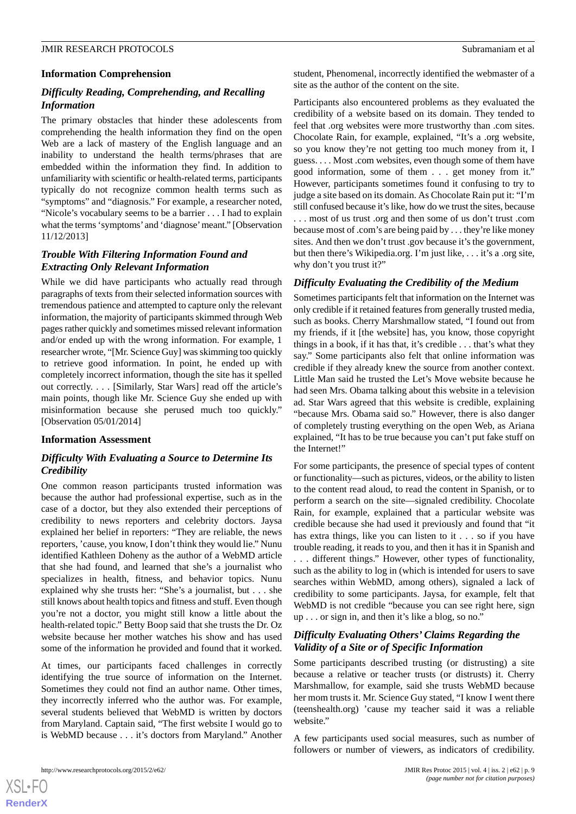### **Information Comprehension**

### *Difficulty Reading, Comprehending, and Recalling Information*

The primary obstacles that hinder these adolescents from comprehending the health information they find on the open Web are a lack of mastery of the English language and an inability to understand the health terms/phrases that are embedded within the information they find. In addition to unfamiliarity with scientific or health-related terms, participants typically do not recognize common health terms such as "symptoms" and "diagnosis." For example, a researcher noted, "Nicole's vocabulary seems to be a barrier . . . I had to explain what the terms 'symptoms'and 'diagnose'meant." [Observation 11/12/2013]

### *Trouble With Filtering Information Found and Extracting Only Relevant Information*

While we did have participants who actually read through paragraphs of texts from their selected information sources with tremendous patience and attempted to capture only the relevant information, the majority of participants skimmed through Web pages rather quickly and sometimes missed relevant information and/or ended up with the wrong information. For example, 1 researcher wrote, "[Mr. Science Guy] was skimming too quickly to retrieve good information. In point, he ended up with completely incorrect information, though the site has it spelled out correctly. . . . [Similarly, Star Wars] read off the article's main points, though like Mr. Science Guy she ended up with misinformation because she perused much too quickly." [Observation 05/01/2014]

### **Information Assessment**

### *Difficulty With Evaluating a Source to Determine Its Credibility*

One common reason participants trusted information was because the author had professional expertise, such as in the case of a doctor, but they also extended their perceptions of credibility to news reporters and celebrity doctors. Jaysa explained her belief in reporters: "They are reliable, the news reporters, 'cause, you know, I don't think they would lie." Nunu identified Kathleen Doheny as the author of a WebMD article that she had found, and learned that she's a journalist who specializes in health, fitness, and behavior topics. Nunu explained why she trusts her: "She's a journalist, but . . . she still knows about health topics and fitness and stuff. Even though you're not a doctor, you might still know a little about the health-related topic." Betty Boop said that she trusts the Dr. Oz website because her mother watches his show and has used some of the information he provided and found that it worked.

At times, our participants faced challenges in correctly identifying the true source of information on the Internet. Sometimes they could not find an author name. Other times, they incorrectly inferred who the author was. For example, several students believed that WebMD is written by doctors from Maryland. Captain said, "The first website I would go to is WebMD because . . . it's doctors from Maryland." Another student, Phenomenal, incorrectly identified the webmaster of a site as the author of the content on the site.

Participants also encountered problems as they evaluated the credibility of a website based on its domain. They tended to feel that .org websites were more trustworthy than .com sites. Chocolate Rain, for example, explained, "It's a .org website, so you know they're not getting too much money from it, I guess. . . . Most .com websites, even though some of them have good information, some of them . . . get money from it." However, participants sometimes found it confusing to try to judge a site based on its domain. As Chocolate Rain put it: "I'm still confused because it's like, how do we trust the sites, because

. . . most of us trust .org and then some of us don't trust .com because most of .com's are being paid by . . . they're like money sites. And then we don't trust .gov because it's the government, but then there's Wikipedia.org. I'm just like, . . . it's a .org site, why don't you trust it?"

### *Difficulty Evaluating the Credibility of the Medium*

Sometimes participants felt that information on the Internet was only credible if it retained features from generally trusted media, such as books. Cherry Marshmallow stated, "I found out from my friends, if it [the website] has, you know, those copyright things in a book, if it has that, it's credible . . . that's what they say." Some participants also felt that online information was credible if they already knew the source from another context. Little Man said he trusted the Let's Move website because he had seen Mrs. Obama talking about this website in a television ad. Star Wars agreed that this website is credible, explaining "because Mrs. Obama said so." However, there is also danger of completely trusting everything on the open Web, as Ariana explained, "It has to be true because you can't put fake stuff on the Internet!"

For some participants, the presence of special types of content or functionality—such as pictures, videos, or the ability to listen to the content read aloud, to read the content in Spanish, or to perform a search on the site—signaled credibility. Chocolate Rain, for example, explained that a particular website was credible because she had used it previously and found that "it has extra things, like you can listen to it . . . so if you have trouble reading, it reads to you, and then it has it in Spanish and . . . different things." However, other types of functionality, such as the ability to log in (which is intended for users to save searches within WebMD, among others), signaled a lack of credibility to some participants. Jaysa, for example, felt that WebMD is not credible "because you can see right here, sign up . . . or sign in, and then it's like a blog, so no."

### *Difficulty Evaluating Others' Claims Regarding the Validity of a Site or of Specific Information*

Some participants described trusting (or distrusting) a site because a relative or teacher trusts (or distrusts) it. Cherry Marshmallow, for example, said she trusts WebMD because her mom trusts it. Mr. Science Guy stated, "I know I went there (teenshealth.org) 'cause my teacher said it was a reliable website."

A few participants used social measures, such as number of followers or number of viewers, as indicators of credibility.

 $XSI - F($ **[RenderX](http://www.renderx.com/)**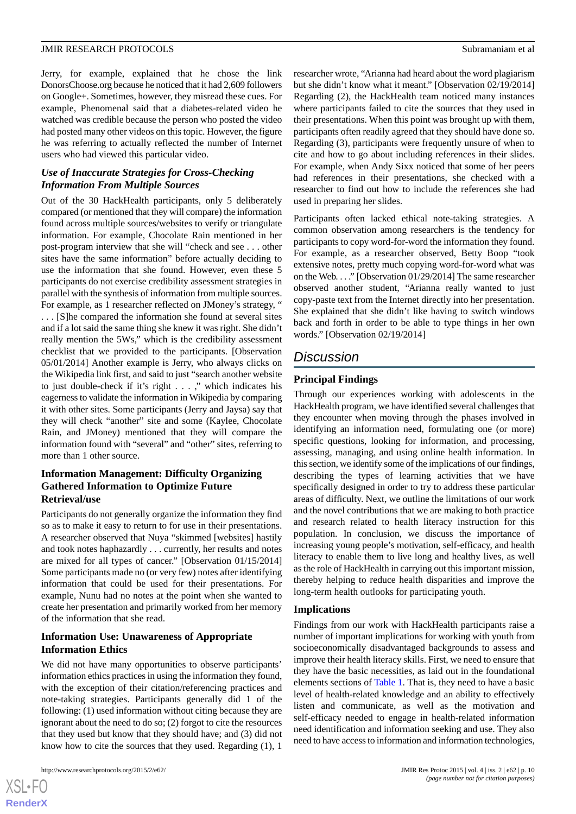Jerry, for example, explained that he chose the link DonorsChoose.org because he noticed that it had 2,609 followers on Google+. Sometimes, however, they misread these cues. For example, Phenomenal said that a diabetes-related video he watched was credible because the person who posted the video had posted many other videos on this topic. However, the figure he was referring to actually reflected the number of Internet users who had viewed this particular video.

### *Use of Inaccurate Strategies for Cross-Checking Information From Multiple Sources*

Out of the 30 HackHealth participants, only 5 deliberately compared (or mentioned that they will compare) the information found across multiple sources/websites to verify or triangulate information. For example, Chocolate Rain mentioned in her post-program interview that she will "check and see . . . other sites have the same information" before actually deciding to use the information that she found. However, even these 5 participants do not exercise credibility assessment strategies in parallel with the synthesis of information from multiple sources. For example, as 1 researcher reflected on JMoney's strategy, " . . . [S]he compared the information she found at several sites and if a lot said the same thing she knew it was right. She didn't really mention the 5Ws," which is the credibility assessment checklist that we provided to the participants. [Observation 05/01/2014] Another example is Jerry, who always clicks on the Wikipedia link first, and said to just "search another website to just double-check if it's right . . . ," which indicates his eagerness to validate the information in Wikipedia by comparing it with other sites. Some participants (Jerry and Jaysa) say that they will check "another" site and some (Kaylee, Chocolate Rain, and JMoney) mentioned that they will compare the information found with "several" and "other" sites, referring to more than 1 other source.

### **Information Management: Difficulty Organizing Gathered Information to Optimize Future Retrieval/use**

Participants do not generally organize the information they find so as to make it easy to return to for use in their presentations. A researcher observed that Nuya "skimmed [websites] hastily and took notes haphazardly . . . currently, her results and notes are mixed for all types of cancer." [Observation 01/15/2014] Some participants made no (or very few) notes after identifying information that could be used for their presentations. For example, Nunu had no notes at the point when she wanted to create her presentation and primarily worked from her memory of the information that she read.

### **Information Use: Unawareness of Appropriate Information Ethics**

We did not have many opportunities to observe participants' information ethics practices in using the information they found, with the exception of their citation/referencing practices and note-taking strategies. Participants generally did 1 of the following: (1) used information without citing because they are ignorant about the need to do so; (2) forgot to cite the resources that they used but know that they should have; and (3) did not know how to cite the sources that they used. Regarding (1), 1

researcher wrote, "Arianna had heard about the word plagiarism but she didn't know what it meant." [Observation 02/19/2014] Regarding (2), the HackHealth team noticed many instances where participants failed to cite the sources that they used in their presentations. When this point was brought up with them, participants often readily agreed that they should have done so. Regarding (3), participants were frequently unsure of when to cite and how to go about including references in their slides. For example, when Andy Sixx noticed that some of her peers had references in their presentations, she checked with a researcher to find out how to include the references she had used in preparing her slides.

Participants often lacked ethical note-taking strategies. A common observation among researchers is the tendency for participants to copy word-for-word the information they found. For example, as a researcher observed, Betty Boop "took extensive notes, pretty much copying word-for-word what was on the Web. . . ." [Observation 01/29/2014] The same researcher observed another student, "Arianna really wanted to just copy-paste text from the Internet directly into her presentation. She explained that she didn't like having to switch windows back and forth in order to be able to type things in her own words." [Observation 02/19/2014]

# *Discussion*

### **Principal Findings**

Through our experiences working with adolescents in the HackHealth program, we have identified several challenges that they encounter when moving through the phases involved in identifying an information need, formulating one (or more) specific questions, looking for information, and processing, assessing, managing, and using online health information. In this section, we identify some of the implications of our findings, describing the types of learning activities that we have specifically designed in order to try to address these particular areas of difficulty. Next, we outline the limitations of our work and the novel contributions that we are making to both practice and research related to health literacy instruction for this population. In conclusion, we discuss the importance of increasing young people's motivation, self-efficacy, and health literacy to enable them to live long and healthy lives, as well as the role of HackHealth in carrying out this important mission, thereby helping to reduce health disparities and improve the long-term health outlooks for participating youth.

### **Implications**

Findings from our work with HackHealth participants raise a number of important implications for working with youth from socioeconomically disadvantaged backgrounds to assess and improve their health literacy skills. First, we need to ensure that they have the basic necessities, as laid out in the foundational elements sections of [Table 1](#page-3-0). That is, they need to have a basic level of health-related knowledge and an ability to effectively listen and communicate, as well as the motivation and self-efficacy needed to engage in health-related information need identification and information seeking and use. They also need to have access to information and information technologies,

 $XS$  $\cdot$ FC **[RenderX](http://www.renderx.com/)**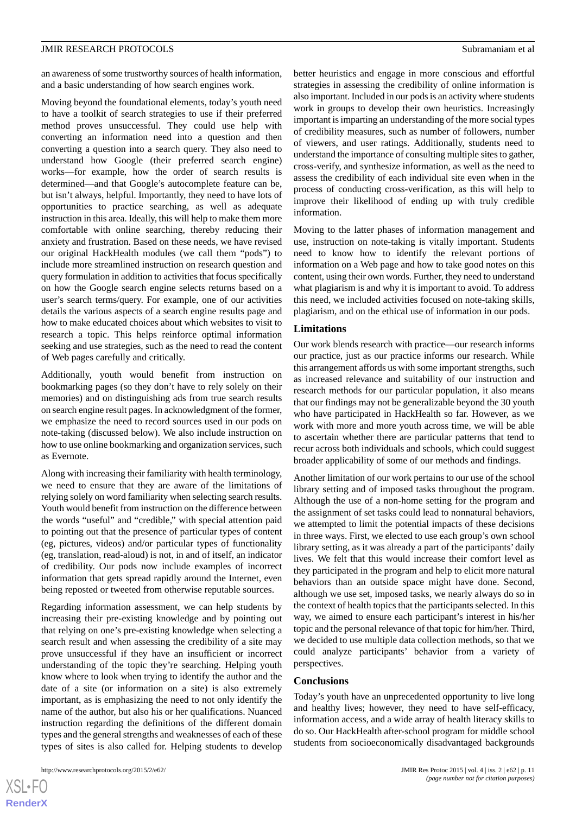an awareness of some trustworthy sources of health information, and a basic understanding of how search engines work.

Moving beyond the foundational elements, today's youth need to have a toolkit of search strategies to use if their preferred method proves unsuccessful. They could use help with converting an information need into a question and then converting a question into a search query. They also need to understand how Google (their preferred search engine) works—for example, how the order of search results is determined—and that Google's autocomplete feature can be, but isn't always, helpful. Importantly, they need to have lots of opportunities to practice searching, as well as adequate instruction in this area. Ideally, this will help to make them more comfortable with online searching, thereby reducing their anxiety and frustration. Based on these needs, we have revised our original HackHealth modules (we call them "pods") to include more streamlined instruction on research question and query formulation in addition to activities that focus specifically on how the Google search engine selects returns based on a user's search terms/query. For example, one of our activities details the various aspects of a search engine results page and how to make educated choices about which websites to visit to research a topic. This helps reinforce optimal information seeking and use strategies, such as the need to read the content of Web pages carefully and critically.

Additionally, youth would benefit from instruction on bookmarking pages (so they don't have to rely solely on their memories) and on distinguishing ads from true search results on search engine result pages. In acknowledgment of the former, we emphasize the need to record sources used in our pods on note-taking (discussed below). We also include instruction on how to use online bookmarking and organization services, such as Evernote.

Along with increasing their familiarity with health terminology, we need to ensure that they are aware of the limitations of relying solely on word familiarity when selecting search results. Youth would benefit from instruction on the difference between the words "useful" and "credible," with special attention paid to pointing out that the presence of particular types of content (eg, pictures, videos) and/or particular types of functionality (eg, translation, read-aloud) is not, in and of itself, an indicator of credibility. Our pods now include examples of incorrect information that gets spread rapidly around the Internet, even being reposted or tweeted from otherwise reputable sources.

Regarding information assessment, we can help students by increasing their pre-existing knowledge and by pointing out that relying on one's pre-existing knowledge when selecting a search result and when assessing the credibility of a site may prove unsuccessful if they have an insufficient or incorrect understanding of the topic they're searching. Helping youth know where to look when trying to identify the author and the date of a site (or information on a site) is also extremely important, as is emphasizing the need to not only identify the name of the author, but also his or her qualifications. Nuanced instruction regarding the definitions of the different domain types and the general strengths and weaknesses of each of these types of sites is also called for. Helping students to develop

better heuristics and engage in more conscious and effortful strategies in assessing the credibility of online information is also important. Included in our pods is an activity where students work in groups to develop their own heuristics. Increasingly important is imparting an understanding of the more social types of credibility measures, such as number of followers, number of viewers, and user ratings. Additionally, students need to understand the importance of consulting multiple sites to gather, cross-verify, and synthesize information, as well as the need to assess the credibility of each individual site even when in the process of conducting cross-verification, as this will help to improve their likelihood of ending up with truly credible information.

Moving to the latter phases of information management and use, instruction on note-taking is vitally important. Students need to know how to identify the relevant portions of information on a Web page and how to take good notes on this content, using their own words. Further, they need to understand what plagiarism is and why it is important to avoid. To address this need, we included activities focused on note-taking skills, plagiarism, and on the ethical use of information in our pods.

#### **Limitations**

Our work blends research with practice—our research informs our practice, just as our practice informs our research. While this arrangement affords us with some important strengths, such as increased relevance and suitability of our instruction and research methods for our particular population, it also means that our findings may not be generalizable beyond the 30 youth who have participated in HackHealth so far. However, as we work with more and more youth across time, we will be able to ascertain whether there are particular patterns that tend to recur across both individuals and schools, which could suggest broader applicability of some of our methods and findings.

Another limitation of our work pertains to our use of the school library setting and of imposed tasks throughout the program. Although the use of a non-home setting for the program and the assignment of set tasks could lead to nonnatural behaviors, we attempted to limit the potential impacts of these decisions in three ways. First, we elected to use each group's own school library setting, as it was already a part of the participants' daily lives. We felt that this would increase their comfort level as they participated in the program and help to elicit more natural behaviors than an outside space might have done. Second, although we use set, imposed tasks, we nearly always do so in the context of health topics that the participants selected. In this way, we aimed to ensure each participant's interest in his/her topic and the personal relevance of that topic for him/her. Third, we decided to use multiple data collection methods, so that we could analyze participants' behavior from a variety of perspectives.

#### **Conclusions**

Today's youth have an unprecedented opportunity to live long and healthy lives; however, they need to have self-efficacy, information access, and a wide array of health literacy skills to do so. Our HackHealth after-school program for middle school students from socioeconomically disadvantaged backgrounds

 $XS$  $\cdot$ FC **[RenderX](http://www.renderx.com/)**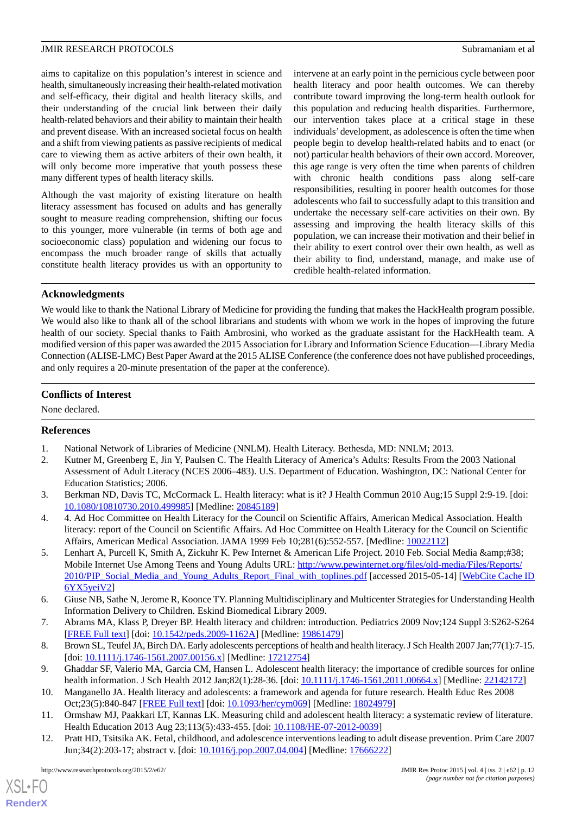aims to capitalize on this population's interest in science and health, simultaneously increasing their health-related motivation and self-efficacy, their digital and health literacy skills, and their understanding of the crucial link between their daily health-related behaviors and their ability to maintain their health and prevent disease. With an increased societal focus on health and a shift from viewing patients as passive recipients of medical care to viewing them as active arbiters of their own health, it will only become more imperative that youth possess these many different types of health literacy skills.

Although the vast majority of existing literature on health literacy assessment has focused on adults and has generally sought to measure reading comprehension, shifting our focus to this younger, more vulnerable (in terms of both age and socioeconomic class) population and widening our focus to encompass the much broader range of skills that actually constitute health literacy provides us with an opportunity to

intervene at an early point in the pernicious cycle between poor health literacy and poor health outcomes. We can thereby contribute toward improving the long-term health outlook for this population and reducing health disparities. Furthermore, our intervention takes place at a critical stage in these individuals'development, as adolescence is often the time when people begin to develop health-related habits and to enact (or not) particular health behaviors of their own accord. Moreover, this age range is very often the time when parents of children with chronic health conditions pass along self-care responsibilities, resulting in poorer health outcomes for those adolescents who fail to successfully adapt to this transition and undertake the necessary self-care activities on their own. By assessing and improving the health literacy skills of this population, we can increase their motivation and their belief in their ability to exert control over their own health, as well as their ability to find, understand, manage, and make use of credible health-related information.

### **Acknowledgments**

We would like to thank the National Library of Medicine for providing the funding that makes the HackHealth program possible. We would also like to thank all of the school librarians and students with whom we work in the hopes of improving the future health of our society. Special thanks to Faith Ambrosini, who worked as the graduate assistant for the HackHealth team. A modified version of this paper was awarded the 2015 Association for Library and Information Science Education—Library Media Connection (ALISE-LMC) Best Paper Award at the 2015 ALISE Conference (the conference does not have published proceedings, and only requires a 20-minute presentation of the paper at the conference).

### **Conflicts of Interest**

<span id="page-11-1"></span><span id="page-11-0"></span>None declared.

### **References**

- <span id="page-11-2"></span>1. National Network of Libraries of Medicine (NNLM). Health Literacy. Bethesda, MD: NNLM; 2013.
- <span id="page-11-3"></span>2. Kutner M, Greenberg E, Jin Y, Paulsen C. The Health Literacy of America's Adults: Results From the 2003 National Assessment of Adult Literacy (NCES 2006–483). U.S. Department of Education. Washington, DC: National Center for Education Statistics; 2006.
- <span id="page-11-4"></span>3. Berkman ND, Davis TC, McCormack L. Health literacy: what is it? J Health Commun 2010 Aug;15 Suppl 2:9-19. [doi: [10.1080/10810730.2010.499985\]](http://dx.doi.org/10.1080/10810730.2010.499985) [Medline: [20845189\]](http://www.ncbi.nlm.nih.gov/entrez/query.fcgi?cmd=Retrieve&db=PubMed&list_uids=20845189&dopt=Abstract)
- 4. 4. Ad Hoc Committee on Health Literacy for the Council on Scientific Affairs, American Medical Association. Health literacy: report of the Council on Scientific Affairs. Ad Hoc Committee on Health Literacy for the Council on Scientific Affairs, American Medical Association. JAMA 1999 Feb 10;281(6):552-557. [Medline: [10022112](http://www.ncbi.nlm.nih.gov/entrez/query.fcgi?cmd=Retrieve&db=PubMed&list_uids=10022112&dopt=Abstract)]
- <span id="page-11-6"></span><span id="page-11-5"></span>5. Lenhart A, Purcell K, Smith A, Zickuhr K. Pew Internet & American Life Project. 2010 Feb. Social Media & Mobile Internet Use Among Teens and Young Adults URL: [http://www.pewinternet.org/files/old-media/Files/Reports/](http://www.pewinternet.org/files/old-media/Files/Reports/2010/PIP_Social_Media_and_Young_Adults_Report_Final_with_toplines.pdf) [2010/PIP\\_Social\\_Media\\_and\\_Young\\_Adults\\_Report\\_Final\\_with\\_toplines.pdf](http://www.pewinternet.org/files/old-media/Files/Reports/2010/PIP_Social_Media_and_Young_Adults_Report_Final_with_toplines.pdf) [accessed 2015-05-14] [[WebCite Cache ID](http://www.webcitation.org/

                                    6YX5yeiV2) [6YX5yeiV2](http://www.webcitation.org/

                                    6YX5yeiV2)]
- <span id="page-11-8"></span><span id="page-11-7"></span>6. Giuse NB, Sathe N, Jerome R, Koonce TY. Planning Multidisciplinary and Multicenter Strategies for Understanding Health Information Delivery to Children. Eskind Biomedical Library 2009.
- <span id="page-11-9"></span>7. Abrams MA, Klass P, Dreyer BP. Health literacy and children: introduction. Pediatrics 2009 Nov;124 Suppl 3:S262-S264 [[FREE Full text](http://pediatrics.aappublications.org/cgi/pmidlookup?view=long&pmid=19861479)] [doi: [10.1542/peds.2009-1162A](http://dx.doi.org/10.1542/peds.2009-1162A)] [Medline: [19861479\]](http://www.ncbi.nlm.nih.gov/entrez/query.fcgi?cmd=Retrieve&db=PubMed&list_uids=19861479&dopt=Abstract)
- <span id="page-11-10"></span>8. Brown SL, Teufel JA, Birch DA. Early adolescents perceptions of health and health literacy. J Sch Health 2007 Jan;77(1):7-15. [doi: [10.1111/j.1746-1561.2007.00156.x](http://dx.doi.org/10.1111/j.1746-1561.2007.00156.x)] [Medline: [17212754](http://www.ncbi.nlm.nih.gov/entrez/query.fcgi?cmd=Retrieve&db=PubMed&list_uids=17212754&dopt=Abstract)]
- <span id="page-11-11"></span>9. Ghaddar SF, Valerio MA, Garcia CM, Hansen L. Adolescent health literacy: the importance of credible sources for online health information. J Sch Health 2012 Jan;82(1):28-36. [doi: [10.1111/j.1746-1561.2011.00664.x\]](http://dx.doi.org/10.1111/j.1746-1561.2011.00664.x) [Medline: [22142172\]](http://www.ncbi.nlm.nih.gov/entrez/query.fcgi?cmd=Retrieve&db=PubMed&list_uids=22142172&dopt=Abstract)
- 10. Manganello JA. Health literacy and adolescents: a framework and agenda for future research. Health Educ Res 2008 Oct;23(5):840-847 [\[FREE Full text\]](http://her.oxfordjournals.org/cgi/pmidlookup?view=long&pmid=18024979) [doi: [10.1093/her/cym069\]](http://dx.doi.org/10.1093/her/cym069) [Medline: [18024979\]](http://www.ncbi.nlm.nih.gov/entrez/query.fcgi?cmd=Retrieve&db=PubMed&list_uids=18024979&dopt=Abstract)
- 11. Ormshaw MJ, Paakkari LT, Kannas LK. Measuring child and adolescent health literacy: a systematic review of literature. Health Education 2013 Aug 23;113(5):433-455. [doi: [10.1108/HE-07-2012-0039\]](http://dx.doi.org/10.1108/HE-07-2012-0039)
- 12. Pratt HD, Tsitsika AK. Fetal, childhood, and adolescence interventions leading to adult disease prevention. Prim Care 2007 Jun;34(2):203-17; abstract v. [doi: [10.1016/j.pop.2007.04.004\]](http://dx.doi.org/10.1016/j.pop.2007.04.004) [Medline: [17666222](http://www.ncbi.nlm.nih.gov/entrez/query.fcgi?cmd=Retrieve&db=PubMed&list_uids=17666222&dopt=Abstract)]

 $XS$  • FO **[RenderX](http://www.renderx.com/)**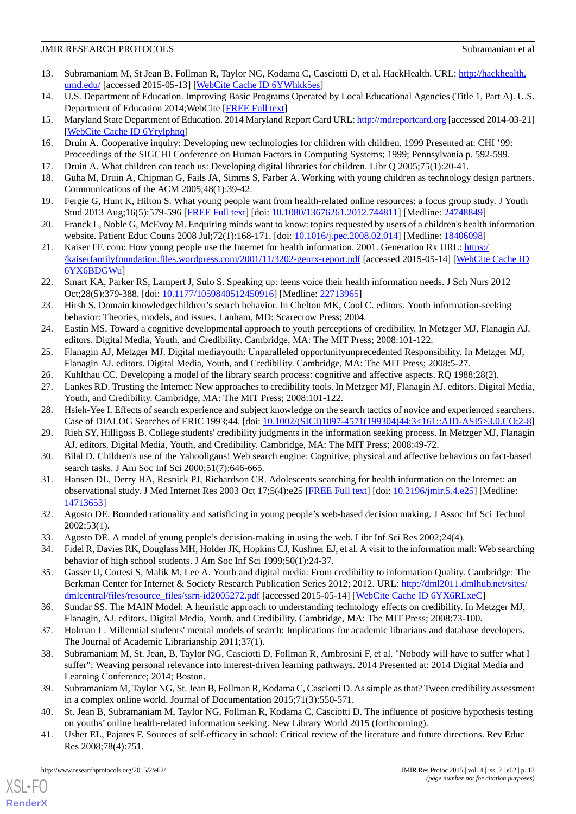- <span id="page-12-0"></span>13. Subramaniam M, St Jean B, Follman R, Taylor NG, Kodama C, Casciotti D, et al. HackHealth. URL: [http://hackhealth.](http://hackhealth.umd.edu/) [umd.edu/](http://hackhealth.umd.edu/) [accessed 2015-05-13] [\[WebCite Cache ID 6YWhkk5es\]](http://www.webcitation.org/

                                    6YWhkk5es)
- <span id="page-12-2"></span><span id="page-12-1"></span>14. U.S. Department of Education. Improving Basic Programs Operated by Local Educational Agencies (Title 1, Part A). U.S. Department of Education 2014;WebCite [[FREE Full text\]](http://www2.ed.gov/programs/titleiparta/index.html)
- <span id="page-12-3"></span>15. Maryland State Department of Education. 2014 Maryland Report Card URL:<http://mdreportcard.org> [accessed 2014-03-21] [[WebCite Cache ID 6Yrylphnq\]](http://www.webcitation.org/

                                    6Yrylphnq)
- 16. Druin A. Cooperative inquiry: Developing new technologies for children with children. 1999 Presented at: CHI '99: Proceedings of the SIGCHI Conference on Human Factors in Computing Systems; 1999; Pennsylvania p. 592-599.
- <span id="page-12-4"></span>17. Druin A. What children can teach us: Developing digital libraries for children. Libr Q 2005;75(1):20-41.
- <span id="page-12-5"></span>18. Guha M, Druin A, Chipman G, Fails JA, Simms S, Farber A. Working with young children as technology design partners. Communications of the ACM 2005;48(1):39-42.
- 19. Fergie G, Hunt K, Hilton S. What young people want from health-related online resources: a focus group study. J Youth Stud 2013 Aug;16(5):579-596 [[FREE Full text\]](http://europepmc.org/abstract/MED/24748849) [doi: [10.1080/13676261.2012.744811](http://dx.doi.org/10.1080/13676261.2012.744811)] [Medline: [24748849](http://www.ncbi.nlm.nih.gov/entrez/query.fcgi?cmd=Retrieve&db=PubMed&list_uids=24748849&dopt=Abstract)]
- 20. Franck L, Noble G, McEvoy M. Enquiring minds want to know: topics requested by users of a children's health information website. Patient Educ Couns 2008 Jul;72(1):168-171. [doi: [10.1016/j.pec.2008.02.014](http://dx.doi.org/10.1016/j.pec.2008.02.014)] [Medline: [18406098](http://www.ncbi.nlm.nih.gov/entrez/query.fcgi?cmd=Retrieve&db=PubMed&list_uids=18406098&dopt=Abstract)]
- <span id="page-12-6"></span>21. Kaiser FF. com: How young people use the Internet for health information. 2001. Generation Rx URL: [https:/](https://kaiserfamilyfoundation.files.wordpress.com/2001/11/3202-genrx-report.pdf) [/kaiserfamilyfoundation.files.wordpress.com/2001/11/3202-genrx-report.pdf](https://kaiserfamilyfoundation.files.wordpress.com/2001/11/3202-genrx-report.pdf) [accessed 2015-05-14] [[WebCite Cache ID](http://www.webcitation.org/

                                    6YX6BDGWu) [6YX6BDGWu](http://www.webcitation.org/

                                    6YX6BDGWu)]
- <span id="page-12-7"></span>22. Smart KA, Parker RS, Lampert J, Sulo S. Speaking up: teens voice their health information needs. J Sch Nurs 2012 Oct;28(5):379-388. [doi: [10.1177/1059840512450916](http://dx.doi.org/10.1177/1059840512450916)] [Medline: [22713965\]](http://www.ncbi.nlm.nih.gov/entrez/query.fcgi?cmd=Retrieve&db=PubMed&list_uids=22713965&dopt=Abstract)
- <span id="page-12-8"></span>23. Hirsh S. Domain knowledgechildren's search behavior. In Chelton MK, Cool C. editors. Youth information-seeking behavior: Theories, models, and issues. Lanham, MD: Scarecrow Press; 2004.
- <span id="page-12-10"></span><span id="page-12-9"></span>24. Eastin MS. Toward a cognitive developmental approach to youth perceptions of credibility. In Metzger MJ, Flanagin AJ. editors. Digital Media, Youth, and Credibility. Cambridge, MA: The MIT Press; 2008:101-122.
- <span id="page-12-11"></span>25. Flanagin AJ, Metzger MJ. Digital mediayouth: Unparalleled opportunityunprecedented Responsibility. In Metzger MJ, Flanagin AJ. editors. Digital Media, Youth, and Credibility. Cambridge, MA: The MIT Press; 2008:5-27.
- <span id="page-12-12"></span>26. Kuhlthau CC. Developing a model of the library search process: cognitive and affective aspects. RQ 1988;28(2).
- <span id="page-12-13"></span>27. Lankes RD. Trusting the Internet: New approaches to credibility tools. In Metzger MJ, Flanagin AJ. editors. Digital Media, Youth, and Credibility. Cambridge, MA: The MIT Press; 2008:101-122.
- <span id="page-12-14"></span>28. Hsieh-Yee I. Effects of search experience and subject knowledge on the search tactics of novice and experienced searchers. Case of DIALOG Searches of ERIC 1993;44. [doi: [10.1002/\(SICI\)1097-4571\(199304\)44:3<161::AID-ASI5>3.0.CO;2-8](http://dx.doi.org/10.1002/(SICI)1097-4571(199304)44:3<161::AID-ASI5>3.0.CO;2-8)]
- <span id="page-12-15"></span>29. Rieh SY, Hilligoss B. College students' credibility judgments in the information seeking process. In Metzger MJ, Flanagin AJ. editors. Digital Media, Youth, and Credibility. Cambridge, MA: The MIT Press; 2008:49-72.
- <span id="page-12-16"></span>30. Bilal D. Children's use of the Yahooligans! Web search engine: Cognitive, physical and affective behaviors on fact-based search tasks. J Am Soc Inf Sci 2000;51(7):646-665.
- <span id="page-12-23"></span>31. Hansen DL, Derry HA, Resnick PJ, Richardson CR. Adolescents searching for health information on the Internet: an observational study. J Med Internet Res 2003 Oct 17;5(4):e25 [[FREE Full text](http://www.jmir.org/2003/4/e25/)] [doi: [10.2196/jmir.5.4.e25\]](http://dx.doi.org/10.2196/jmir.5.4.e25) [Medline: [14713653](http://www.ncbi.nlm.nih.gov/entrez/query.fcgi?cmd=Retrieve&db=PubMed&list_uids=14713653&dopt=Abstract)]
- <span id="page-12-24"></span>32. Agosto DE. Bounded rationality and satisficing in young people's web-based decision making. J Assoc Inf Sci Technol 2002;53(1).
- 33. Agosto DE. A model of young people's decision-making in using the web. Libr Inf Sci Res 2002;24(4).
- <span id="page-12-17"></span>34. Fidel R, Davies RK, Douglass MH, Holder JK, Hopkins CJ, Kushner EJ, et al. A visit to the information mall: Web searching behavior of high school students. J Am Soc Inf Sci 1999;50(1):24-37.
- <span id="page-12-19"></span><span id="page-12-18"></span>35. Gasser U, Cortesi S, Malik M, Lee A. Youth and digital media: From credibility to information Quality. Cambridge: The Berkman Center for Internet & Society Research Publication Series 2012; 2012. URL: [http://dml2011.dmlhub.net/sites/](http://dml2011.dmlhub.net/sites/dmlcentral/files/resource_files/ssrn-id2005272.pdf) [dmlcentral/files/resource\\_files/ssrn-id2005272.pdf](http://dml2011.dmlhub.net/sites/dmlcentral/files/resource_files/ssrn-id2005272.pdf) [accessed 2015-05-14] [[WebCite Cache ID 6YX6RLxeC\]](http://www.webcitation.org/

                                    6YX6RLxeC)
- 36. Sundar SS. The MAIN Model: A heuristic approach to understanding technology effects on credibility. In Metzger MJ, Flanagin, AJ. editors. Digital Media, Youth, and Credibility. Cambridge, MA: The MIT Press; 2008:73-100.
- <span id="page-12-21"></span><span id="page-12-20"></span>37. Holman L. Millennial students' mental models of search: Implications for academic librarians and database developers. The Journal of Academic Librarianship 2011;37(1).
- <span id="page-12-22"></span>38. Subramaniam M, St. Jean, B, Taylor NG, Casciotti D, Follman R, Ambrosini F, et al. "Nobody will have to suffer what I suffer": Weaving personal relevance into interest-driven learning pathways. 2014 Presented at: 2014 Digital Media and Learning Conference; 2014; Boston.
- 39. Subramaniam M, Taylor NG, St. Jean B, Follman R, Kodama C, Casciotti D. As simple as that? Tween credibility assessment in a complex online world. Journal of Documentation 2015;71(3):550-571.
- 40. St. Jean B, Subramaniam M, Taylor NG, Follman R, Kodama C, Casciotti D. The influence of positive hypothesis testing on youths' online health-related information seeking. New Library World 2015 (forthcoming).
- 41. Usher EL, Pajares F. Sources of self-efficacy in school: Critical review of the literature and future directions. Rev Educ Res 2008;78(4):751.

[XSL](http://www.w3.org/Style/XSL)•FO **[RenderX](http://www.renderx.com/)**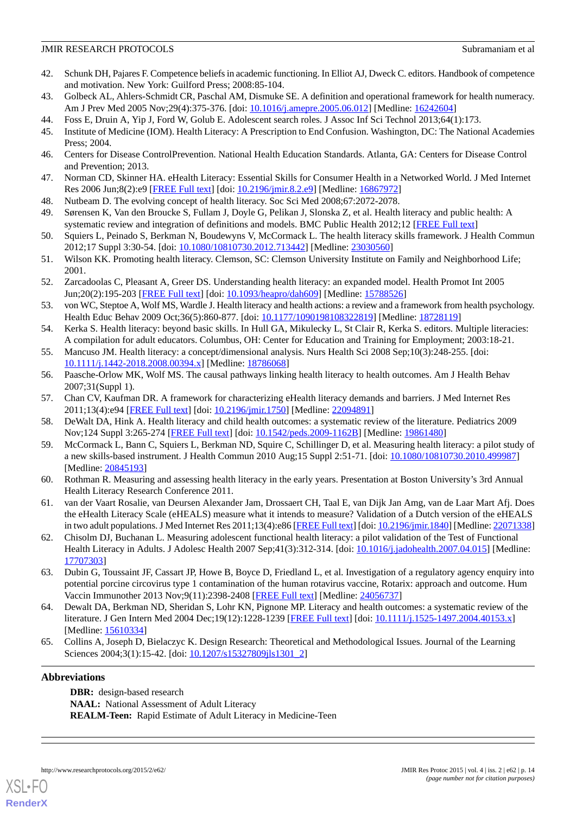- <span id="page-13-0"></span>42. Schunk DH, Pajares F. Competence beliefs in academic functioning. In Elliot AJ, Dweck C. editors. Handbook of competence and motivation. New York: Guilford Press; 2008:85-104.
- <span id="page-13-2"></span><span id="page-13-1"></span>43. Golbeck AL, Ahlers-Schmidt CR, Paschal AM, Dismuke SE. A definition and operational framework for health numeracy. Am J Prev Med 2005 Nov;29(4):375-376. [doi: [10.1016/j.amepre.2005.06.012\]](http://dx.doi.org/10.1016/j.amepre.2005.06.012) [Medline: [16242604\]](http://www.ncbi.nlm.nih.gov/entrez/query.fcgi?cmd=Retrieve&db=PubMed&list_uids=16242604&dopt=Abstract)
- <span id="page-13-3"></span>44. Foss E, Druin A, Yip J, Ford W, Golub E. Adolescent search roles. J Assoc Inf Sci Technol 2013;64(1):173.
- 45. Institute of Medicine (IOM). Health Literacy: A Prescription to End Confusion. Washington, DC: The National Academies Press; 2004.
- <span id="page-13-5"></span>46. Centers for Disease ControlPrevention. National Health Education Standards. Atlanta, GA: Centers for Disease Control and Prevention; 2013.
- 47. Norman CD, Skinner HA. eHealth Literacy: Essential Skills for Consumer Health in a Networked World. J Med Internet Res 2006 Jun;8(2):e9 [[FREE Full text](http://www.jmir.org/2006/2/e9/)] [doi: [10.2196/jmir.8.2.e9\]](http://dx.doi.org/10.2196/jmir.8.2.e9) [Medline: [16867972\]](http://www.ncbi.nlm.nih.gov/entrez/query.fcgi?cmd=Retrieve&db=PubMed&list_uids=16867972&dopt=Abstract)
- <span id="page-13-8"></span>48. Nutbeam D. The evolving concept of health literacy. Soc Sci Med 2008;67:2072-2078.
- <span id="page-13-6"></span>49. Sørensen K, Van den Broucke S, Fullam J, Doyle G, Pelikan J, Slonska Z, et al. Health literacy and public health: A systematic review and integration of definitions and models. BMC Public Health 2012;12 [\[FREE Full text\]](http://www.biomedcentral.com/1471-2458/12/80)
- 50. Squiers L, Peinado S, Berkman N, Boudewyns V, McCormack L. The health literacy skills framework. J Health Commun 2012;17 Suppl 3:30-54. [doi: [10.1080/10810730.2012.713442](http://dx.doi.org/10.1080/10810730.2012.713442)] [Medline: [23030560](http://www.ncbi.nlm.nih.gov/entrez/query.fcgi?cmd=Retrieve&db=PubMed&list_uids=23030560&dopt=Abstract)]
- <span id="page-13-4"></span>51. Wilson KK. Promoting health literacy. Clemson, SC: Clemson University Institute on Family and Neighborhood Life; 2001.
- <span id="page-13-7"></span>52. Zarcadoolas C, Pleasant A, Greer DS. Understanding health literacy: an expanded model. Health Promot Int 2005 Jun;20(2):195-203 [[FREE Full text](http://heapro.oxfordjournals.org/cgi/pmidlookup?view=long&pmid=15788526)] [doi: [10.1093/heapro/dah609](http://dx.doi.org/10.1093/heapro/dah609)] [Medline: [15788526\]](http://www.ncbi.nlm.nih.gov/entrez/query.fcgi?cmd=Retrieve&db=PubMed&list_uids=15788526&dopt=Abstract)
- <span id="page-13-9"></span>53. von WC, Steptoe A, Wolf MS, Wardle J. Health literacy and health actions: a review and a framework from health psychology. Health Educ Behav 2009 Oct;36(5):860-877. [doi: [10.1177/1090198108322819\]](http://dx.doi.org/10.1177/1090198108322819) [Medline: [18728119\]](http://www.ncbi.nlm.nih.gov/entrez/query.fcgi?cmd=Retrieve&db=PubMed&list_uids=18728119&dopt=Abstract)
- <span id="page-13-10"></span>54. Kerka S. Health literacy: beyond basic skills. In Hull GA, Mikulecky L, St Clair R, Kerka S. editors. Multiple literacies: A compilation for adult educators. Columbus, OH: Center for Education and Training for Employment; 2003:18-21.
- <span id="page-13-11"></span>55. Mancuso JM. Health literacy: a concept/dimensional analysis. Nurs Health Sci 2008 Sep;10(3):248-255. [doi: [10.1111/j.1442-2018.2008.00394.x\]](http://dx.doi.org/10.1111/j.1442-2018.2008.00394.x) [Medline: [18786068\]](http://www.ncbi.nlm.nih.gov/entrez/query.fcgi?cmd=Retrieve&db=PubMed&list_uids=18786068&dopt=Abstract)
- <span id="page-13-12"></span>56. Paasche-Orlow MK, Wolf MS. The causal pathways linking health literacy to health outcomes. Am J Health Behav 2007;31(Suppl 1).
- 57. Chan CV, Kaufman DR. A framework for characterizing eHealth literacy demands and barriers. J Med Internet Res 2011;13(4):e94 [\[FREE Full text](http://www.jmir.org/2011/4/e94/)] [doi: [10.2196/jmir.1750\]](http://dx.doi.org/10.2196/jmir.1750) [Medline: [22094891](http://www.ncbi.nlm.nih.gov/entrez/query.fcgi?cmd=Retrieve&db=PubMed&list_uids=22094891&dopt=Abstract)]
- 58. DeWalt DA, Hink A. Health literacy and child health outcomes: a systematic review of the literature. Pediatrics 2009 Nov;124 Suppl 3:265-274 [[FREE Full text](http://pediatrics.aappublications.org/cgi/pmidlookup?view=long&pmid=19861480)] [doi: [10.1542/peds.2009-1162B](http://dx.doi.org/10.1542/peds.2009-1162B)] [Medline: [19861480](http://www.ncbi.nlm.nih.gov/entrez/query.fcgi?cmd=Retrieve&db=PubMed&list_uids=19861480&dopt=Abstract)]
- <span id="page-13-13"></span>59. McCormack L, Bann C, Squiers L, Berkman ND, Squire C, Schillinger D, et al. Measuring health literacy: a pilot study of a new skills-based instrument. J Health Commun 2010 Aug;15 Suppl 2:51-71. [doi: [10.1080/10810730.2010.499987\]](http://dx.doi.org/10.1080/10810730.2010.499987) [Medline: [20845193](http://www.ncbi.nlm.nih.gov/entrez/query.fcgi?cmd=Retrieve&db=PubMed&list_uids=20845193&dopt=Abstract)]
- <span id="page-13-14"></span>60. Rothman R. Measuring and assessing health literacy in the early years. Presentation at Boston University's 3rd Annual Health Literacy Research Conference 2011.
- <span id="page-13-15"></span>61. van der Vaart Rosalie, van Deursen Alexander Jam, Drossaert CH, Taal E, van Dijk Jan Amg, van de Laar Mart Afj. Does the eHealth Literacy Scale (eHEALS) measure what it intends to measure? Validation of a Dutch version of the eHEALS in two adult populations. J Med Internet Res 2011;13(4):e86 [\[FREE Full text](http://www.jmir.org/2011/4/e86/)] [doi: [10.2196/jmir.1840\]](http://dx.doi.org/10.2196/jmir.1840) [Medline: [22071338\]](http://www.ncbi.nlm.nih.gov/entrez/query.fcgi?cmd=Retrieve&db=PubMed&list_uids=22071338&dopt=Abstract)
- <span id="page-13-16"></span>62. Chisolm DJ, Buchanan L. Measuring adolescent functional health literacy: a pilot validation of the Test of Functional Health Literacy in Adults. J Adolesc Health 2007 Sep;41(3):312-314. [doi: [10.1016/j.jadohealth.2007.04.015](http://dx.doi.org/10.1016/j.jadohealth.2007.04.015)] [Medline: [17707303](http://www.ncbi.nlm.nih.gov/entrez/query.fcgi?cmd=Retrieve&db=PubMed&list_uids=17707303&dopt=Abstract)]
- <span id="page-13-17"></span>63. Dubin G, Toussaint JF, Cassart JP, Howe B, Boyce D, Friedland L, et al. Investigation of a regulatory agency enquiry into potential porcine circovirus type 1 contamination of the human rotavirus vaccine, Rotarix: approach and outcome. Hum Vaccin Immunother 2013 Nov;9(11):2398-2408 [\[FREE Full text](http://www.landesbioscience.com/journals/hv/abstract.php?id=25973)] [Medline: [24056737](http://www.ncbi.nlm.nih.gov/entrez/query.fcgi?cmd=Retrieve&db=PubMed&list_uids=24056737&dopt=Abstract)]
- 64. Dewalt DA, Berkman ND, Sheridan S, Lohr KN, Pignone MP. Literacy and health outcomes: a systematic review of the literature. J Gen Intern Med 2004 Dec;19(12):1228-1239 [\[FREE Full text\]](http://europepmc.org/abstract/MED/15610334) [doi: [10.1111/j.1525-1497.2004.40153.x](http://dx.doi.org/10.1111/j.1525-1497.2004.40153.x)] [Medline: [15610334](http://www.ncbi.nlm.nih.gov/entrez/query.fcgi?cmd=Retrieve&db=PubMed&list_uids=15610334&dopt=Abstract)]
- 65. Collins A, Joseph D, Bielaczyc K. Design Research: Theoretical and Methodological Issues. Journal of the Learning Sciences 2004;3(1):15-42. [doi: [10.1207/s15327809jls1301\\_2\]](http://dx.doi.org/10.1207/s15327809jls1301_2)

### **Abbreviations**

[XSL](http://www.w3.org/Style/XSL)•FO **[RenderX](http://www.renderx.com/)**

**DBR:** design-based research **NAAL:** National Assessment of Adult Literacy **REALM-Teen:** Rapid Estimate of Adult Literacy in Medicine-Teen